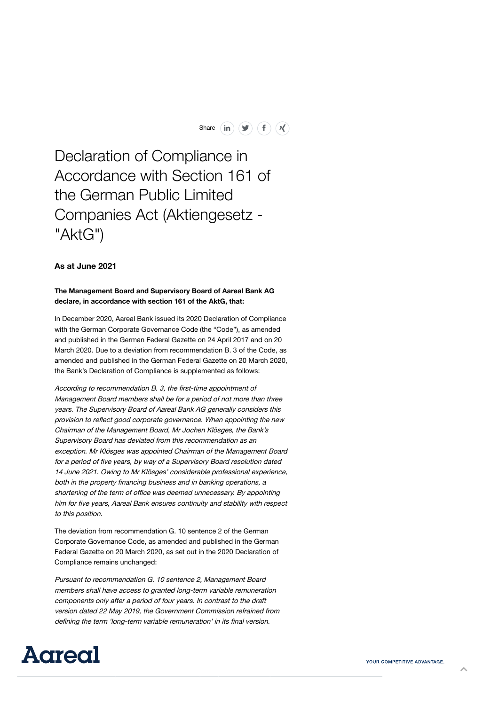Share  $(in)$   $(\blacktriangleright)$   $(f)$   $(\blacktriangleleft)$ 

Declaration of Compliance in Accordance with Section 161 of the German Public Limited Companies Act (Aktiengesetz - "AktG")

## **As at June 2021**

## **The Management Board and Supervisory Board of Aareal Bank AG declare, in accordance with section 161 of the AktG, that:**

In December 2020, Aareal Bank issued its 2020 Declaration of Compliance with the German Corporate Governance Code (the "Code"), as amended and published in the German Federal Gazette on 24 April 2017 and on 20 March 2020. Due to a deviation from recommendation B. 3 of the Code, as amended and published in the German Federal Gazette on 20 March 2020, the Bank's Declaration of Compliance is supplemented as follows:

According to recommendation B. 3, the first-time appointment of Management Board members shall be for <sup>a</sup> period of not more than three years. The Supervisory Board of Aareal Bank AG generally considers this provision to reflect good corporate governance. When appointing the new Chairman of the Management Board, Mr Jochen Klösges, the Bank's Supervisory Board has deviated from this recommendation as an exception. Mr Klösges was appointed Chairman of the Management Board for <sup>a</sup> period of five years, by way of <sup>a</sup> Supervisory Board resolution dated 14 June 2021. Owing to Mr Klösges' considerable professional experience, both in the property financing business and in banking operations, <sup>a</sup> shortening of the term of office was deemed unnecessary. By appointing him for five years, Aareal Bank ensures continuity and stability with respect to this position.

The deviation from recommendation G. 10 sentence 2 of the German Corporate Governance Code, as amended and published in the German Federal Gazette on 20 March 2020, as set out in the 2020 Declaration of Compliance remains unchanged:

Pursuant to recommendation G. 10 sentence 2, Management Board members shall have access to granted long-term variable remuneration components only after <sup>a</sup> period of four years. In contrast to the draft version dated 22 May 2019, the Government Commission refrained from defining the term 'long-term variable remuneration' in its final version.

[m](https://www.youtube.com/channel/UCJ4W8uT1zUdJfmAueOKx-bA)[easu](https://twitter.com/aareal)[reme](https://www.linkedin.com/company/aareal-bank/)nt basis), non-financial success as presented for subsequently for subsequently for subsequently for subsequently for subsequently for subsequently for subsequently for subsequently for subsequently for subsequen



YOUR COMPETITIVE ADVANTAGE.